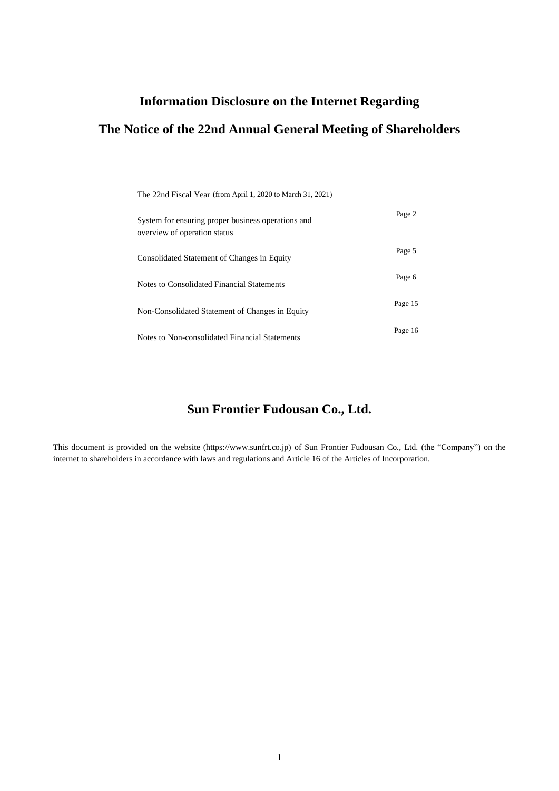# **Information Disclosure on the Internet Regarding**

# **The Notice of the 22nd Annual General Meeting of Shareholders**

| The 22nd Fiscal Year (from April 1, 2020 to March 31, 2021)                        |         |
|------------------------------------------------------------------------------------|---------|
| System for ensuring proper business operations and<br>overview of operation status | Page 2  |
| Consolidated Statement of Changes in Equity                                        | Page 5  |
| Notes to Consolidated Financial Statements                                         | Page 6  |
| Non-Consolidated Statement of Changes in Equity                                    | Page 15 |
| Notes to Non-consolidated Financial Statements                                     | Page 16 |

# **Sun Frontier Fudousan Co., Ltd.**

This document is provided on the website (https://www.sunfrt.co.jp) of Sun Frontier Fudousan Co., Ltd. (the "Company") on the internet to shareholders in accordance with laws and regulations and Article 16 of the Articles of Incorporation.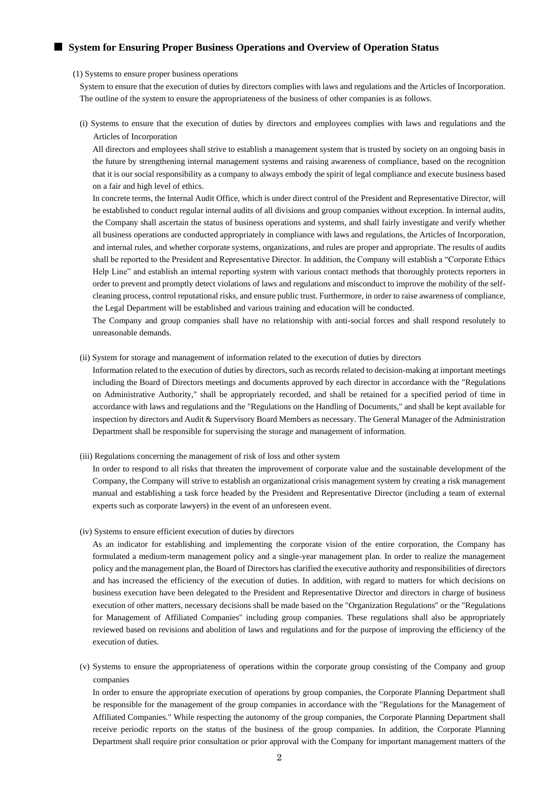## ■ System for Ensuring Proper Business Operations and Overview of Operation Status

#### (1) Systems to ensure proper business operations

System to ensure that the execution of duties by directors complies with laws and regulations and the Articles of Incorporation. The outline of the system to ensure the appropriateness of the business of other companies is as follows.

(i) Systems to ensure that the execution of duties by directors and employees complies with laws and regulations and the Articles of Incorporation

All directors and employees shall strive to establish a management system that is trusted by society on an ongoing basis in the future by strengthening internal management systems and raising awareness of compliance, based on the recognition that it is our social responsibility as a company to always embody the spirit of legal compliance and execute business based on a fair and high level of ethics.

In concrete terms, the Internal Audit Office, which is under direct control of the President and Representative Director, will be established to conduct regular internal audits of all divisions and group companies without exception. In internal audits, the Company shall ascertain the status of business operations and systems, and shall fairly investigate and verify whether all business operations are conducted appropriately in compliance with laws and regulations, the Articles of Incorporation, and internal rules, and whether corporate systems, organizations, and rules are proper and appropriate. The results of audits shall be reported to the President and Representative Director. In addition, the Company will establish a "Corporate Ethics Help Line" and establish an internal reporting system with various contact methods that thoroughly protects reporters in order to prevent and promptly detect violations of laws and regulations and misconduct to improve the mobility of the selfcleaning process, control reputational risks, and ensure public trust. Furthermore, in order to raise awareness of compliance, the Legal Department will be established and various training and education will be conducted.

The Company and group companies shall have no relationship with anti-social forces and shall respond resolutely to unreasonable demands.

#### (ii) System for storage and management of information related to the execution of duties by directors

Information related to the execution of duties by directors, such as records related to decision-making at important meetings including the Board of Directors meetings and documents approved by each director in accordance with the "Regulations on Administrative Authority," shall be appropriately recorded, and shall be retained for a specified period of time in accordance with laws and regulations and the "Regulations on the Handling of Documents," and shall be kept available for inspection by directors and Audit & Supervisory Board Members as necessary. The General Manager of the Administration Department shall be responsible for supervising the storage and management of information.

## (iii) Regulations concerning the management of risk of loss and other system

In order to respond to all risks that threaten the improvement of corporate value and the sustainable development of the Company, the Company will strive to establish an organizational crisis management system by creating a risk management manual and establishing a task force headed by the President and Representative Director (including a team of external experts such as corporate lawyers) in the event of an unforeseen event.

#### (iv) Systems to ensure efficient execution of duties by directors

As an indicator for establishing and implementing the corporate vision of the entire corporation, the Company has formulated a medium-term management policy and a single-year management plan. In order to realize the management policy and the management plan, the Board of Directors has clarified the executive authority and responsibilities of directors and has increased the efficiency of the execution of duties. In addition, with regard to matters for which decisions on business execution have been delegated to the President and Representative Director and directors in charge of business execution of other matters, necessary decisions shall be made based on the "Organization Regulations" or the "Regulations for Management of Affiliated Companies" including group companies. These regulations shall also be appropriately reviewed based on revisions and abolition of laws and regulations and for the purpose of improving the efficiency of the execution of duties.

(v) Systems to ensure the appropriateness of operations within the corporate group consisting of the Company and group companies

In order to ensure the appropriate execution of operations by group companies, the Corporate Planning Department shall be responsible for the management of the group companies in accordance with the "Regulations for the Management of Affiliated Companies." While respecting the autonomy of the group companies, the Corporate Planning Department shall receive periodic reports on the status of the business of the group companies. In addition, the Corporate Planning Department shall require prior consultation or prior approval with the Company for important management matters of the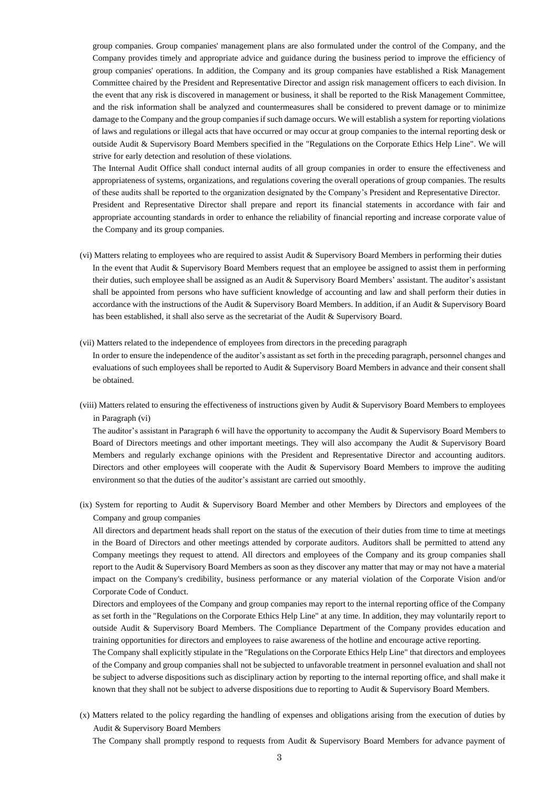group companies. Group companies' management plans are also formulated under the control of the Company, and the Company provides timely and appropriate advice and guidance during the business period to improve the efficiency of group companies' operations. In addition, the Company and its group companies have established a Risk Management Committee chaired by the President and Representative Director and assign risk management officers to each division. In the event that any risk is discovered in management or business, it shall be reported to the Risk Management Committee, and the risk information shall be analyzed and countermeasures shall be considered to prevent damage or to minimize damage to the Company and the group companies if such damage occurs. We will establish a system for reporting violations of laws and regulations or illegal acts that have occurred or may occur at group companies to the internal reporting desk or outside Audit & Supervisory Board Members specified in the "Regulations on the Corporate Ethics Help Line". We will strive for early detection and resolution of these violations.

The Internal Audit Office shall conduct internal audits of all group companies in order to ensure the effectiveness and appropriateness of systems, organizations, and regulations covering the overall operations of group companies. The results of these audits shall be reported to the organization designated by the Company's President and Representative Director.

President and Representative Director shall prepare and report its financial statements in accordance with fair and appropriate accounting standards in order to enhance the reliability of financial reporting and increase corporate value of the Company and its group companies.

- (vi) Matters relating to employees who are required to assist Audit & Supervisory Board Members in performing their duties In the event that Audit & Supervisory Board Members request that an employee be assigned to assist them in performing their duties, such employee shall be assigned as an Audit & Supervisory Board Members' assistant. The auditor's assistant shall be appointed from persons who have sufficient knowledge of accounting and law and shall perform their duties in accordance with the instructions of the Audit & Supervisory Board Members. In addition, if an Audit & Supervisory Board has been established, it shall also serve as the secretariat of the Audit & Supervisory Board.
- (vii) Matters related to the independence of employees from directors in the preceding paragraph

In order to ensure the independence of the auditor's assistant as set forth in the preceding paragraph, personnel changes and evaluations of such employees shall be reported to Audit & Supervisory Board Members in advance and their consent shall be obtained.

(viii) Matters related to ensuring the effectiveness of instructions given by Audit & Supervisory Board Members to employees in Paragraph (vi)

The auditor's assistant in Paragraph 6 will have the opportunity to accompany the Audit & Supervisory Board Members to Board of Directors meetings and other important meetings. They will also accompany the Audit & Supervisory Board Members and regularly exchange opinions with the President and Representative Director and accounting auditors. Directors and other employees will cooperate with the Audit & Supervisory Board Members to improve the auditing environment so that the duties of the auditor's assistant are carried out smoothly.

(ix) System for reporting to Audit & Supervisory Board Member and other Members by Directors and employees of the Company and group companies

All directors and department heads shall report on the status of the execution of their duties from time to time at meetings in the Board of Directors and other meetings attended by corporate auditors. Auditors shall be permitted to attend any Company meetings they request to attend. All directors and employees of the Company and its group companies shall report to the Audit & Supervisory Board Members as soon as they discover any matter that may or may not have a material impact on the Company's credibility, business performance or any material violation of the Corporate Vision and/or Corporate Code of Conduct.

Directors and employees of the Company and group companies may report to the internal reporting office of the Company as set forth in the "Regulations on the Corporate Ethics Help Line" at any time. In addition, they may voluntarily report to outside Audit & Supervisory Board Members. The Compliance Department of the Company provides education and training opportunities for directors and employees to raise awareness of the hotline and encourage active reporting.

The Company shall explicitly stipulate in the "Regulations on the Corporate Ethics Help Line" that directors and employees of the Company and group companies shall not be subjected to unfavorable treatment in personnel evaluation and shall not be subject to adverse dispositions such as disciplinary action by reporting to the internal reporting office, and shall make it known that they shall not be subject to adverse dispositions due to reporting to Audit & Supervisory Board Members.

(x) Matters related to the policy regarding the handling of expenses and obligations arising from the execution of duties by Audit & Supervisory Board Members

The Company shall promptly respond to requests from Audit & Supervisory Board Members for advance payment of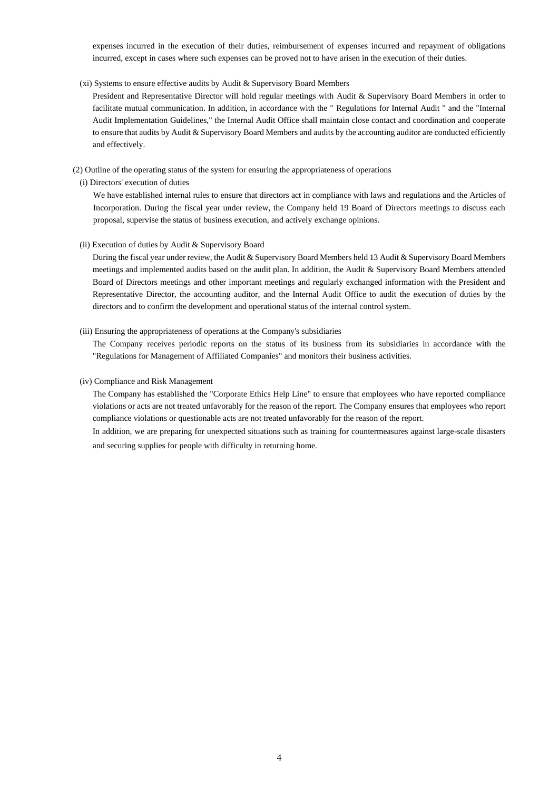expenses incurred in the execution of their duties, reimbursement of expenses incurred and repayment of obligations incurred, except in cases where such expenses can be proved not to have arisen in the execution of their duties.

## (xi) Systems to ensure effective audits by Audit & Supervisory Board Members

President and Representative Director will hold regular meetings with Audit & Supervisory Board Members in order to facilitate mutual communication. In addition, in accordance with the " Regulations for Internal Audit " and the "Internal Audit Implementation Guidelines," the Internal Audit Office shall maintain close contact and coordination and cooperate to ensure that audits by Audit & Supervisory Board Members and audits by the accounting auditor are conducted efficiently and effectively.

## (2) Outline of the operating status of the system for ensuring the appropriateness of operations

(i) Directors' execution of duties

We have established internal rules to ensure that directors act in compliance with laws and regulations and the Articles of Incorporation. During the fiscal year under review, the Company held 19 Board of Directors meetings to discuss each proposal, supervise the status of business execution, and actively exchange opinions.

## (ii) Execution of duties by Audit & Supervisory Board

During the fiscal year under review, the Audit & Supervisory Board Members held 13 Audit & Supervisory Board Members meetings and implemented audits based on the audit plan. In addition, the Audit & Supervisory Board Members attended Board of Directors meetings and other important meetings and regularly exchanged information with the President and Representative Director, the accounting auditor, and the Internal Audit Office to audit the execution of duties by the directors and to confirm the development and operational status of the internal control system.

## (iii) Ensuring the appropriateness of operations at the Company's subsidiaries

The Company receives periodic reports on the status of its business from its subsidiaries in accordance with the "Regulations for Management of Affiliated Companies" and monitors their business activities.

## (iv) Compliance and Risk Management

The Company has established the "Corporate Ethics Help Line" to ensure that employees who have reported compliance violations or acts are not treated unfavorably for the reason of the report. The Company ensures that employees who report compliance violations or questionable acts are not treated unfavorably for the reason of the report.

In addition, we are preparing for unexpected situations such as training for countermeasures against large-scale disasters and securing supplies for people with difficulty in returning home.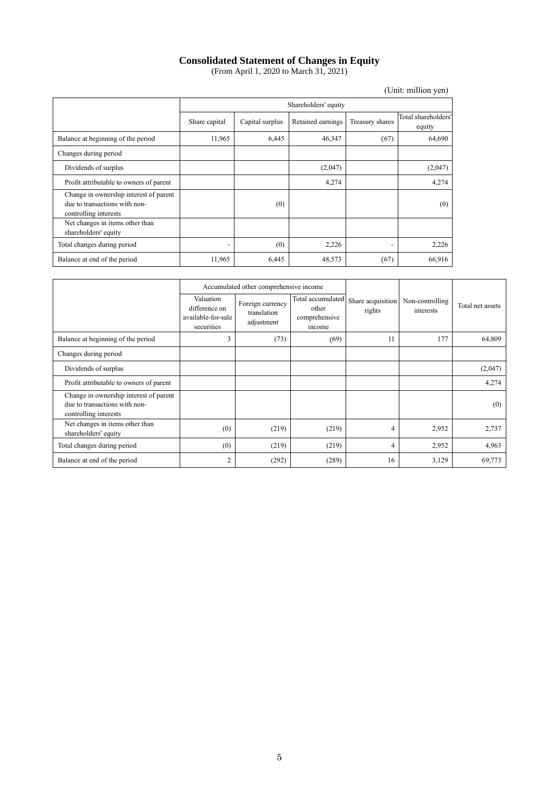# **Consolidated Statement of Changes in Equity**

(From April 1, 2020 to March 31, 2021)

|                                                                                                  |               |                 |                      |                          | (Unit: million yen)           |
|--------------------------------------------------------------------------------------------------|---------------|-----------------|----------------------|--------------------------|-------------------------------|
|                                                                                                  |               |                 | Shareholders' equity |                          |                               |
|                                                                                                  | Share capital | Capital surplus | Retained earnings    | Treasury shares          | Total shareholders'<br>equity |
| Balance at beginning of the period                                                               | 11,965        | 6,445           | 46,347               | (67)                     | 64,690                        |
| Changes during period                                                                            |               |                 |                      |                          |                               |
| Dividends of surplus                                                                             |               |                 | (2,047)              |                          | (2,047)                       |
| Profit attributable to owners of parent                                                          |               |                 | 4,274                |                          | 4,274                         |
| Change in ownership interest of parent<br>due to transactions with non-<br>controlling interests |               | (0)             |                      |                          | (0)                           |
| Net changes in items other than<br>shareholders' equity                                          |               |                 |                      |                          |                               |
| Total changes during period                                                                      |               | (0)             | 2,226                | $\overline{\phantom{a}}$ | 2,226                         |
| Balance at end of the period                                                                     | 11,965        | 6,445           | 48,573               | (67)                     | 66,916                        |

|                                                                                                  |                                                                | Accumulated other comprehensive income        |                                                       |                             |                              |                  |
|--------------------------------------------------------------------------------------------------|----------------------------------------------------------------|-----------------------------------------------|-------------------------------------------------------|-----------------------------|------------------------------|------------------|
|                                                                                                  | Valuation<br>difference on<br>available-for-sale<br>securities | Foreign currency<br>translation<br>adjustment | Total accumulated<br>other<br>comprehensive<br>income | Share acquisition<br>rights | Non-controlling<br>interests | Total net assets |
| Balance at beginning of the period                                                               | 3                                                              | (73)                                          | (69)                                                  | 11                          | 177                          | 64,809           |
| Changes during period                                                                            |                                                                |                                               |                                                       |                             |                              |                  |
| Dividends of surplus                                                                             |                                                                |                                               |                                                       |                             |                              | (2,047)          |
| Profit attributable to owners of parent                                                          |                                                                |                                               |                                                       |                             |                              | 4,274            |
| Change in ownership interest of parent<br>due to transactions with non-<br>controlling interests |                                                                |                                               |                                                       |                             |                              | (0)              |
| Net changes in items other than<br>shareholders' equity                                          | (0)                                                            | (219)                                         | (219)                                                 | $\overline{4}$              | 2,952                        | 2,737            |
| Total changes during period                                                                      | (0)                                                            | (219)                                         | (219)                                                 | $\overline{4}$              | 2,952                        | 4,963            |
| Balance at end of the period                                                                     | $\overline{2}$                                                 | (292)                                         | (289)                                                 | 16                          | 3,129                        | 69,773           |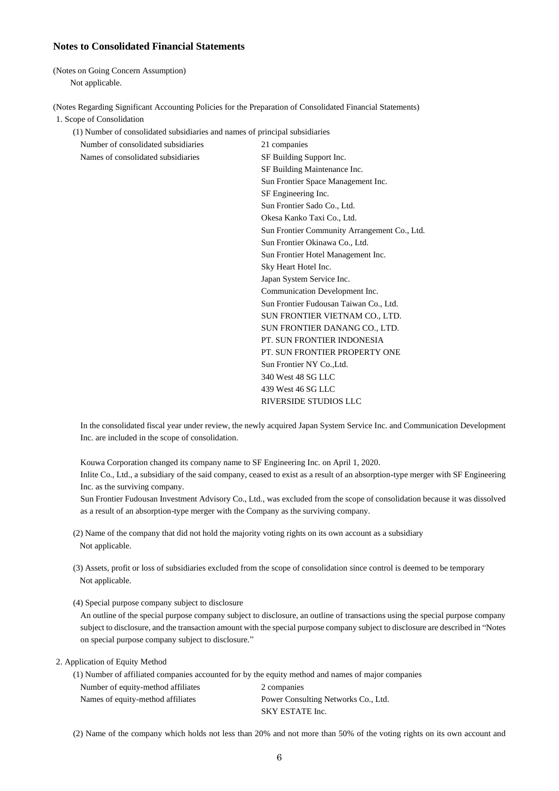## **Notes to Consolidated Financial Statements**

(Notes on Going Concern Assumption) Not applicable.

(Notes Regarding Significant Accounting Policies for the Preparation of Consolidated Financial Statements)

1. Scope of Consolidation

(1) Number of consolidated subsidiaries and names of principal subsidiaries

Number of consolidated subsidiaries 21 companies Names of consolidated subsidiaries SF Building Support Inc. SF Building Maintenance Inc. Sun Frontier Space Management Inc. SF Engineering Inc. Sun Frontier Sado Co., Ltd. Okesa Kanko Taxi Co., Ltd. Sun Frontier Community Arrangement Co., Ltd. Sun Frontier Okinawa Co., Ltd. Sun Frontier Hotel Management Inc. Sky Heart Hotel Inc. Japan System Service Inc. Communication Development Inc. Sun Frontier Fudousan Taiwan Co., Ltd. SUN FRONTIER VIETNAM CO., LTD. SUN FRONTIER DANANG CO., LTD. PT. SUN FRONTIER INDONESIA PT. SUN FRONTIER PROPERTY ONE Sun Frontier NY Co., Ltd. 340 West 48 SG LLC 439 West 46 SG LLC RIVERSIDE STUDIOS LLC

In the consolidated fiscal year under review, the newly acquired Japan System Service Inc. and Communication Development Inc. are included in the scope of consolidation.

Kouwa Corporation changed its company name to SF Engineering Inc. on April 1, 2020.

Inlite Co., Ltd., a subsidiary of the said company, ceased to exist as a result of an absorption-type merger with SF Engineering Inc. as the surviving company.

Sun Frontier Fudousan Investment Advisory Co., Ltd., was excluded from the scope of consolidation because it was dissolved as a result of an absorption-type merger with the Company as the surviving company.

- (2) Name of the company that did not hold the majority voting rights on its own account as a subsidiary Not applicable.
- (3) Assets, profit or loss of subsidiaries excluded from the scope of consolidation since control is deemed to be temporary Not applicable.
- (4) Special purpose company subject to disclosure

An outline of the special purpose company subject to disclosure, an outline of transactions using the special purpose company subject to disclosure, and the transaction amount with the special purpose company subject to disclosure are described in "Notes on special purpose company subject to disclosure."

## 2. Application of Equity Method

(1) Number of affiliated companies accounted for by the equity method and names of major companies

Number of equity-method affiliates 2 companies Names of equity-method affiliates Power Consulting Networks Co., Ltd. SKY ESTATE Inc.

(2) Name of the company which holds not less than 20% and not more than 50% of the voting rights on its own account and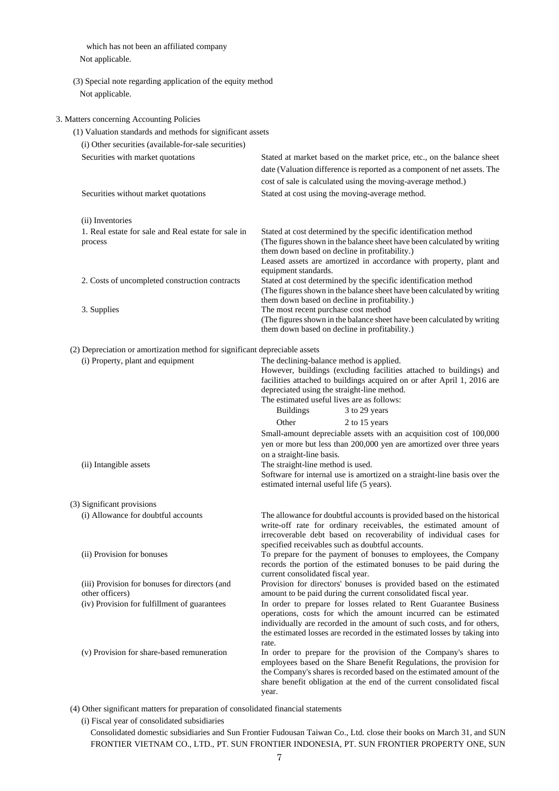which has not been an affiliated company Not applicable.

(3) Special note regarding application of the equity method Not applicable.

## 3. Matters concerning Accounting Policies

| (1) Valuation standards and methods for significant assets                 |                                                                                                                                            |
|----------------------------------------------------------------------------|--------------------------------------------------------------------------------------------------------------------------------------------|
| (i) Other securities (available-for-sale securities)                       |                                                                                                                                            |
| Securities with market quotations                                          | Stated at market based on the market price, etc., on the balance sheet                                                                     |
|                                                                            | date (Valuation difference is reported as a component of net assets. The                                                                   |
|                                                                            | cost of sale is calculated using the moving-average method.)                                                                               |
| Securities without market quotations                                       | Stated at cost using the moving-average method.                                                                                            |
|                                                                            |                                                                                                                                            |
| (ii) Inventories                                                           |                                                                                                                                            |
| 1. Real estate for sale and Real estate for sale in                        | Stated at cost determined by the specific identification method                                                                            |
| process                                                                    | (The figures shown in the balance sheet have been calculated by writing                                                                    |
|                                                                            | them down based on decline in profitability.)                                                                                              |
|                                                                            | Leased assets are amortized in accordance with property, plant and                                                                         |
|                                                                            | equipment standards.                                                                                                                       |
| 2. Costs of uncompleted construction contracts                             | Stated at cost determined by the specific identification method<br>(The figures shown in the balance sheet have been calculated by writing |
|                                                                            | them down based on decline in profitability.)                                                                                              |
| 3. Supplies                                                                | The most recent purchase cost method                                                                                                       |
|                                                                            | (The figures shown in the balance sheet have been calculated by writing                                                                    |
|                                                                            | them down based on decline in profitability.)                                                                                              |
| (2) Depreciation or amortization method for significant depreciable assets |                                                                                                                                            |
| (i) Property, plant and equipment                                          | The declining-balance method is applied.                                                                                                   |
|                                                                            | However, buildings (excluding facilities attached to buildings) and                                                                        |
|                                                                            | facilities attached to buildings acquired on or after April 1, 2016 are                                                                    |
|                                                                            | depreciated using the straight-line method.                                                                                                |
|                                                                            | The estimated useful lives are as follows:                                                                                                 |
|                                                                            | 3 to 29 years<br><b>Buildings</b>                                                                                                          |
|                                                                            | Other<br>2 to 15 years                                                                                                                     |
|                                                                            | Small-amount depreciable assets with an acquisition cost of 100,000                                                                        |
|                                                                            | yen or more but less than 200,000 yen are amortized over three years<br>on a straight-line basis.                                          |
| (ii) Intangible assets                                                     | The straight-line method is used.                                                                                                          |
|                                                                            | Software for internal use is amortized on a straight-line basis over the                                                                   |
|                                                                            | estimated internal useful life (5 years).                                                                                                  |
| (3) Significant provisions                                                 |                                                                                                                                            |
| (i) Allowance for doubtful accounts                                        | The allowance for doubtful accounts is provided based on the historical                                                                    |
|                                                                            | write-off rate for ordinary receivables, the estimated amount of                                                                           |
|                                                                            | irrecoverable debt based on recoverability of individual cases for                                                                         |
|                                                                            | specified receivables such as doubtful accounts.                                                                                           |
| (ii) Provision for bonuses                                                 | To prepare for the payment of bonuses to employees, the Company                                                                            |
|                                                                            | records the portion of the estimated bonuses to be paid during the<br>current consolidated fiscal year.                                    |
| (iii) Provision for bonuses for directors (and                             | Provision for directors' bonuses is provided based on the estimated                                                                        |
| other officers)                                                            | amount to be paid during the current consolidated fiscal year.                                                                             |
| (iv) Provision for fulfillment of guarantees                               | In order to prepare for losses related to Rent Guarantee Business                                                                          |
|                                                                            | operations, costs for which the amount incurred can be estimated                                                                           |
|                                                                            | individually are recorded in the amount of such costs, and for others,                                                                     |
|                                                                            | the estimated losses are recorded in the estimated losses by taking into<br>rate.                                                          |
| (v) Provision for share-based remuneration                                 | In order to prepare for the provision of the Company's shares to                                                                           |
|                                                                            | employees based on the Share Benefit Regulations, the provision for                                                                        |
|                                                                            | the Company's shares is recorded based on the estimated amount of the                                                                      |
|                                                                            | share benefit obligation at the end of the current consolidated fiscal<br>year.                                                            |
|                                                                            |                                                                                                                                            |

(4) Other significant matters for preparation of consolidated financial statements

(i) Fiscal year of consolidated subsidiaries

Consolidated domestic subsidiaries and Sun Frontier Fudousan Taiwan Co., Ltd. close their books on March 31, and SUN FRONTIER VIETNAM CO., LTD., PT. SUN FRONTIER INDONESIA, PT. SUN FRONTIER PROPERTY ONE, SUN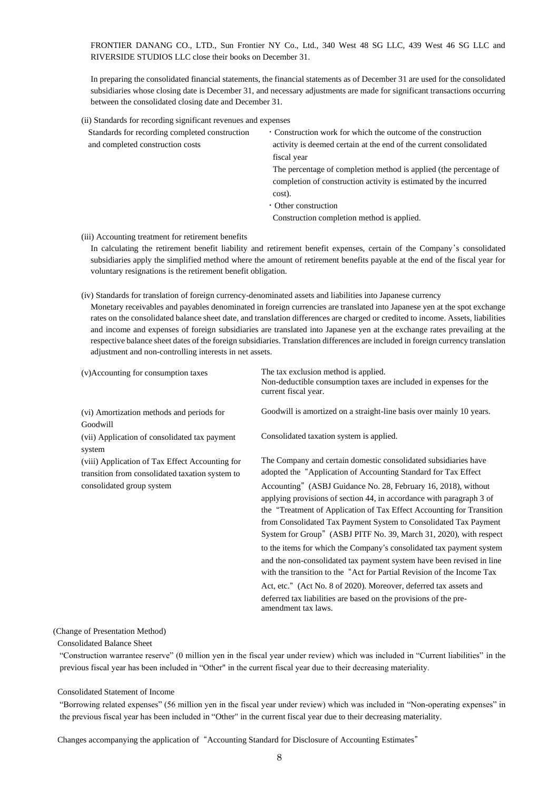FRONTIER DANANG CO., LTD., Sun Frontier NY Co., Ltd., 340 West 48 SG LLC, 439 West 46 SG LLC and RIVERSIDE STUDIOS LLC close their books on December 31.

In preparing the consolidated financial statements, the financial statements as of December 31 are used for the consolidated subsidiaries whose closing date is December 31, and necessary adjustments are made for significant transactions occurring between the consolidated closing date and December 31.

(ii) Standards for recording significant revenues and expenses

| Standards for recording completed construction | • Construction work for which the outcome of the construction     |
|------------------------------------------------|-------------------------------------------------------------------|
| and completed construction costs               | activity is deemed certain at the end of the current consolidated |
|                                                | fiscal year                                                       |
|                                                | The percentage of completion method is applied (the percentage of |
|                                                | completion of construction activity is estimated by the incurred  |
|                                                | cost).                                                            |
|                                                | • Other construction                                              |
|                                                | Construction completion method is applied.                        |
|                                                |                                                                   |

(iii) Accounting treatment for retirement benefits

In calculating the retirement benefit liability and retirement benefit expenses, certain of the Company's consolidated subsidiaries apply the simplified method where the amount of retirement benefits payable at the end of the fiscal year for voluntary resignations is the retirement benefit obligation.

## (iv) Standards for translation of foreign currency-denominated assets and liabilities into Japanese currency

Monetary receivables and payables denominated in foreign currencies are translated into Japanese yen at the spot exchange rates on the consolidated balance sheet date, and translation differences are charged or credited to income. Assets, liabilities and income and expenses of foreign subsidiaries are translated into Japanese yen at the exchange rates prevailing at the respective balance sheet dates of the foreign subsidiaries. Translation differences are included in foreign currency translation adjustment and non-controlling interests in net assets.

| (v)Accounting for consumption taxes                                                                | The tax exclusion method is applied.<br>Non-deductible consumption taxes are included in expenses for the<br>current fiscal year.                                                                                                                                                                                                                         |
|----------------------------------------------------------------------------------------------------|-----------------------------------------------------------------------------------------------------------------------------------------------------------------------------------------------------------------------------------------------------------------------------------------------------------------------------------------------------------|
| (vi) Amortization methods and periods for<br>Goodwill                                              | Goodwill is amortized on a straight-line basis over mainly 10 years.                                                                                                                                                                                                                                                                                      |
| (vii) Application of consolidated tax payment<br>system                                            | Consolidated taxation system is applied.                                                                                                                                                                                                                                                                                                                  |
| (viii) Application of Tax Effect Accounting for<br>transition from consolidated taxation system to | The Company and certain domestic consolidated subsidiaries have<br>adopted the "Application of Accounting Standard for Tax Effect                                                                                                                                                                                                                         |
| consolidated group system                                                                          | Accounting" (ASBJ Guidance No. 28, February 16, 2018), without<br>applying provisions of section 44, in accordance with paragraph 3 of<br>the "Treatment of Application of Tax Effect Accounting for Transition<br>from Consolidated Tax Payment System to Consolidated Tax Payment<br>System for Group" (ASBJ PITF No. 39, March 31, 2020), with respect |
|                                                                                                    | to the items for which the Company's consolidated tax payment system<br>and the non-consolidated tax payment system have been revised in line<br>with the transition to the "Act for Partial Revision of the Income Tax                                                                                                                                   |
|                                                                                                    | Act, etc." (Act No. 8 of 2020). Moreover, deferred tax assets and<br>deferred tax liabilities are based on the provisions of the pre-<br>amendment tax laws.                                                                                                                                                                                              |

#### (Change of Presentation Method)

Consolidated Balance Sheet

"Construction warrantee reserve" (0 million yen in the fiscal year under review) which was included in "Current liabilities" in the previous fiscal year has been included in "Other" in the current fiscal year due to their decreasing materiality.

## Consolidated Statement of Income

"Borrowing related expenses" (56 million yen in the fiscal year under review) which was included in "Non-operating expenses" in the previous fiscal year has been included in "Other" in the current fiscal year due to their decreasing materiality.

Changes accompanying the application of "Accounting Standard for Disclosure of Accounting Estimates"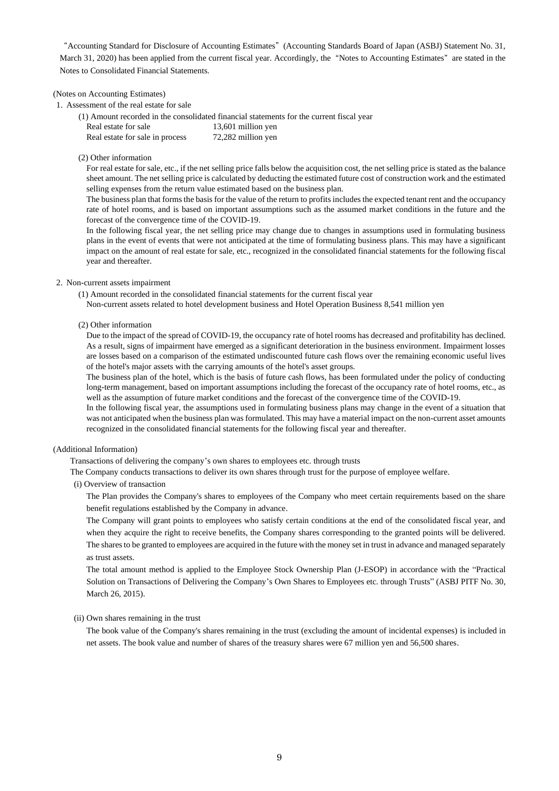"Accounting Standard for Disclosure of Accounting Estimates" (Accounting Standards Board of Japan (ASBJ) Statement No. 31, March 31, 2020) has been applied from the current fiscal year. Accordingly, the "Notes to Accounting Estimates" are stated in the Notes to Consolidated Financial Statements.

#### (Notes on Accounting Estimates)

#### 1. Assessment of the real estate for sale

(1) Amount recorded in the consolidated financial statements for the current fiscal year Real estate for sale 13,601 million yen Real estate for sale in process 72,282 million yen

### (2) Other information

For real estate for sale, etc., if the net selling price falls below the acquisition cost, the net selling price is stated as the balance sheet amount. The net selling price is calculated by deducting the estimated future cost of construction work and the estimated selling expenses from the return value estimated based on the business plan.

The business plan that forms the basis for the value of the return to profits includes the expected tenant rent and the occupancy rate of hotel rooms, and is based on important assumptions such as the assumed market conditions in the future and the forecast of the convergence time of the COVID-19.

In the following fiscal year, the net selling price may change due to changes in assumptions used in formulating business plans in the event of events that were not anticipated at the time of formulating business plans. This may have a significant impact on the amount of real estate for sale, etc., recognized in the consolidated financial statements for the following fiscal year and thereafter.

# 2. Non-current assets impairment

- (1) Amount recorded in the consolidated financial statements for the current fiscal year
- Non-current assets related to hotel development business and Hotel Operation Business 8,541 million yen

## (2) Other information

Due to the impact of the spread of COVID-19, the occupancy rate of hotel rooms has decreased and profitability has declined. As a result, signs of impairment have emerged as a significant deterioration in the business environment. Impairment losses are losses based on a comparison of the estimated undiscounted future cash flows over the remaining economic useful lives of the hotel's major assets with the carrying amounts of the hotel's asset groups.

The business plan of the hotel, which is the basis of future cash flows, has been formulated under the policy of conducting long-term management, based on important assumptions including the forecast of the occupancy rate of hotel rooms, etc., as well as the assumption of future market conditions and the forecast of the convergence time of the COVID-19.

In the following fiscal year, the assumptions used in formulating business plans may change in the event of a situation that was not anticipated when the business plan was formulated. This may have a material impact on the non-current asset amounts recognized in the consolidated financial statements for the following fiscal year and thereafter.

#### (Additional Information)

Transactions of delivering the company's own shares to employees etc. through trusts

The Company conducts transactions to deliver its own shares through trust for the purpose of employee welfare.

(i) Overview of transaction

The Plan provides the Company's shares to employees of the Company who meet certain requirements based on the share benefit regulations established by the Company in advance.

The Company will grant points to employees who satisfy certain conditions at the end of the consolidated fiscal year, and when they acquire the right to receive benefits, the Company shares corresponding to the granted points will be delivered. The shares to be granted to employees are acquired in the future with the money set in trust in advance and managed separately as trust assets.

The total amount method is applied to the Employee Stock Ownership Plan (J-ESOP) in accordance with the "Practical Solution on Transactions of Delivering the Company's Own Shares to Employees etc. through Trusts" (ASBJ PITF No. 30, March 26, 2015).

#### (ii) Own shares remaining in the trust

The book value of the Company's shares remaining in the trust (excluding the amount of incidental expenses) is included in net assets. The book value and number of shares of the treasury shares were 67 million yen and 56,500 shares.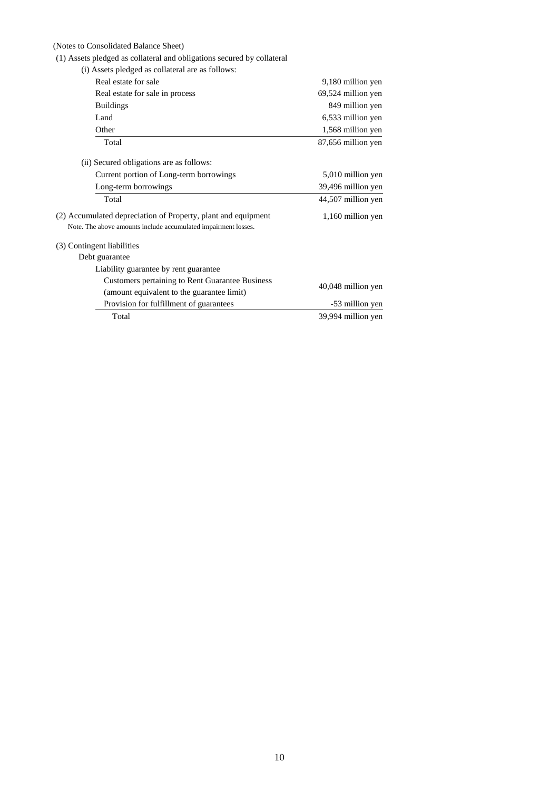## (Notes to Consolidated Balance Sheet)

(1) Assets pledged as collateral and obligations secured by collateral

| (i) Assets pledged as collateral are as follows:               |                    |
|----------------------------------------------------------------|--------------------|
| Real estate for sale                                           | 9,180 million yen  |
| Real estate for sale in process                                | 69,524 million yen |
| <b>Buildings</b>                                               | 849 million yen    |
| Land                                                           | 6,533 million yen  |
| Other                                                          | 1,568 million yen  |
| Total                                                          | 87,656 million yen |
| (ii) Secured obligations are as follows:                       |                    |
| Current portion of Long-term borrowings                        | 5,010 million yen  |
| Long-term borrowings                                           | 39,496 million yen |
| Total                                                          | 44,507 million yen |
| (2) Accumulated depreciation of Property, plant and equipment  | 1,160 million yen  |
| Note. The above amounts include accumulated impairment losses. |                    |
| (3) Contingent liabilities                                     |                    |
| Debt guarantee                                                 |                    |
| Liability guarantee by rent guarantee                          |                    |
| <b>Customers pertaining to Rent Guarantee Business</b>         | 40,048 million yen |
| (amount equivalent to the guarantee limit)                     |                    |
| Provision for fulfillment of guarantees                        | -53 million yen    |
| Total                                                          | 39,994 million yen |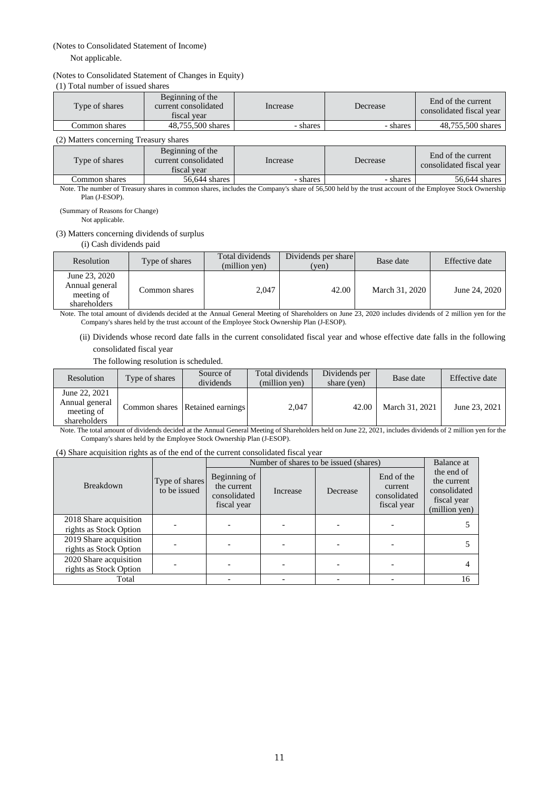## (Notes to Consolidated Statement of Income)

## Not applicable.

## (Notes to Consolidated Statement of Changes in Equity)

(1) Total number of issued shares

| Type of shares | Beginning of the<br>current consolidated<br>fiscal vear | Increase | Decrease | End of the current<br>consolidated fiscal year |
|----------------|---------------------------------------------------------|----------|----------|------------------------------------------------|
| Common shares  | 48.755.500 shares                                       | - shares | - shares | 48,755,500 shares                              |

## (2) Matters concerning Treasury shares

| Type of shares | Beginning of the<br>current consolidated<br>fiscal vear | Increase | Decrease | End of the current<br>consolidated fiscal year |  |  |  |
|----------------|---------------------------------------------------------|----------|----------|------------------------------------------------|--|--|--|
| Common shares  | 56,644 shares                                           | - shares | - shares | 56,644 shares                                  |  |  |  |

Note. The number of Treasury shares in common shares, includes the Company's share of 56,500 held by the trust account of the Employee Stock Ownership Plan (J-ESOP).

(Summary of Reasons for Change) Not applicable.

## (3) Matters concerning dividends of surplus

(i) Cash dividends paid

| Resolution                                                    | Type of shares | Total dividends<br>(million yen) | Dividends per share<br>(yen) | Base date      | Effective date |
|---------------------------------------------------------------|----------------|----------------------------------|------------------------------|----------------|----------------|
| June 23, 2020<br>Annual general<br>meeting of<br>shareholders | Common shares  | 2,047                            | 42.00                        | March 31, 2020 | June 24, 2020  |

Note. The total amount of dividends decided at the Annual General Meeting of Shareholders on June 23, 2020 includes dividends of 2 million yen for the Company's shares held by the trust account of the Employee Stock Ownership Plan (J-ESOP).

(ii) Dividends whose record date falls in the current consolidated fiscal year and whose effective date falls in the following consolidated fiscal year

The following resolution is scheduled.

| Resolution                                                    | Type of shares | Source of<br>dividends          | Total dividends<br>(million yen) | Dividends per<br>share (yen) | Base date      | Effective date |
|---------------------------------------------------------------|----------------|---------------------------------|----------------------------------|------------------------------|----------------|----------------|
| June 22, 2021<br>Annual general<br>meeting of<br>shareholders |                | Common shares Retained earnings | 2.047                            | 42.00                        | March 31, 2021 | June 23, 2021  |

Note. The total amount of dividends decided at the Annual General Meeting of Shareholders held on June 22, 2021, includes dividends of 2 million yen for the Company's shares held by the Employee Stock Ownership Plan (J-ESOP).

#### (4) Share acquisition rights as of the end of the current consolidated fiscal year

|                                                  |                                | Number of shares to be issued (shares)                     | Balance at |          |                                                      |                                                                           |
|--------------------------------------------------|--------------------------------|------------------------------------------------------------|------------|----------|------------------------------------------------------|---------------------------------------------------------------------------|
| <b>Breakdown</b>                                 | Type of shares<br>to be issued | Beginning of<br>the current<br>consolidated<br>fiscal year | Increase   | Decrease | End of the<br>current<br>consolidated<br>fiscal year | the end of<br>the current<br>consolidated<br>fiscal year<br>(million yen) |
| 2018 Share acquisition<br>rights as Stock Option |                                |                                                            |            |          |                                                      |                                                                           |
| 2019 Share acquisition<br>rights as Stock Option |                                |                                                            |            |          |                                                      |                                                                           |
| 2020 Share acquisition<br>rights as Stock Option |                                |                                                            |            |          |                                                      |                                                                           |
| Total                                            |                                |                                                            |            |          |                                                      | 16                                                                        |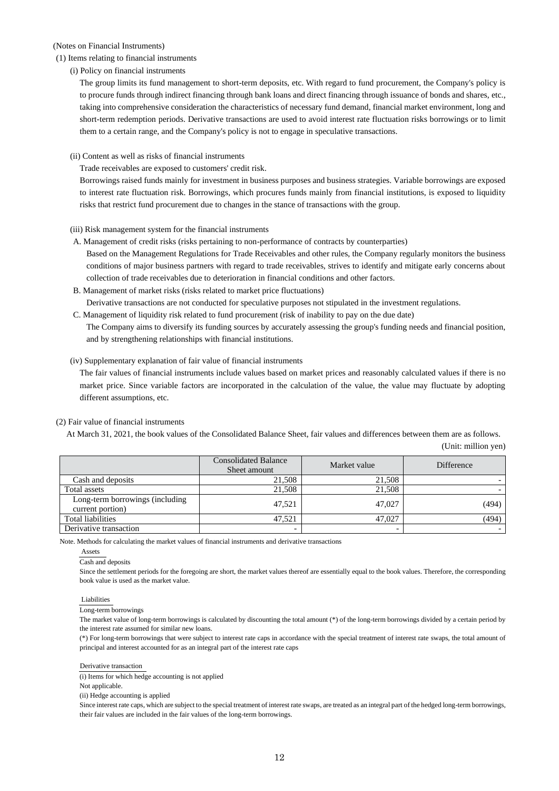## (Notes on Financial Instruments)

## (1) Items relating to financial instruments

(i) Policy on financial instruments

The group limits its fund management to short-term deposits, etc. With regard to fund procurement, the Company's policy is to procure funds through indirect financing through bank loans and direct financing through issuance of bonds and shares, etc., taking into comprehensive consideration the characteristics of necessary fund demand, financial market environment, long and short-term redemption periods. Derivative transactions are used to avoid interest rate fluctuation risks borrowings or to limit them to a certain range, and the Company's policy is not to engage in speculative transactions.

## (ii) Content as well as risks of financial instruments

Trade receivables are exposed to customers' credit risk.

Borrowings raised funds mainly for investment in business purposes and business strategies. Variable borrowings are exposed to interest rate fluctuation risk. Borrowings, which procures funds mainly from financial institutions, is exposed to liquidity risks that restrict fund procurement due to changes in the stance of transactions with the group.

(iii) Risk management system for the financial instruments

- A. Management of credit risks (risks pertaining to non-performance of contracts by counterparties) Based on the Management Regulations for Trade Receivables and other rules, the Company regularly monitors the business conditions of major business partners with regard to trade receivables, strives to identify and mitigate early concerns about collection of trade receivables due to deterioration in financial conditions and other factors.
- B. Management of market risks (risks related to market price fluctuations) Derivative transactions are not conducted for speculative purposes not stipulated in the investment regulations.
- C. Management of liquidity risk related to fund procurement (risk of inability to pay on the due date)

The Company aims to diversify its funding sources by accurately assessing the group's funding needs and financial position, and by strengthening relationships with financial institutions.

## (iv) Supplementary explanation of fair value of financial instruments

The fair values of financial instruments include values based on market prices and reasonably calculated values if there is no market price. Since variable factors are incorporated in the calculation of the value, the value may fluctuate by adopting different assumptions, etc.

## (2) Fair value of financial instruments

At March 31, 2021, the book values of the Consolidated Balance Sheet, fair values and differences between them are as follows.

|                                                     | <b>Consolidated Balance</b><br>Sheet amount | Market value | Difference |
|-----------------------------------------------------|---------------------------------------------|--------------|------------|
| Cash and deposits                                   | 21,508                                      | 21,508       |            |
| Total assets                                        | 21,508                                      | 21.508       |            |
| Long-term borrowings (including<br>current portion) | 47.521                                      | 47.027       | (494)      |
| Total liabilities                                   | 47.521                                      | 47.027       | (494)      |
| Derivative transaction                              | -                                           |              |            |

(Unit: million yen)

Note. Methods for calculating the market values of financial instruments and derivative transactions

Assets

Cash and deposits

Since the settlement periods for the foregoing are short, the market values thereof are essentially equal to the book values. Therefore, the corresponding book value is used as the market value.

#### Liabilities

Long-term borrowings

The market value of long-term borrowings is calculated by discounting the total amount (\*) of the long-term borrowings divided by a certain period by the interest rate assumed for similar new loans.

(\*) For long-term borrowings that were subject to interest rate caps in accordance with the special treatment of interest rate swaps, the total amount of principal and interest accounted for as an integral part of the interest rate caps

Derivative transaction

(i) Items for which hedge accounting is not applied

Not applicable.

(ii) Hedge accounting is applied

Since interest rate caps, which are subject to the special treatment of interest rate swaps, are treated as an integral part of the hedged long-term borrowings, their fair values are included in the fair values of the long-term borrowings.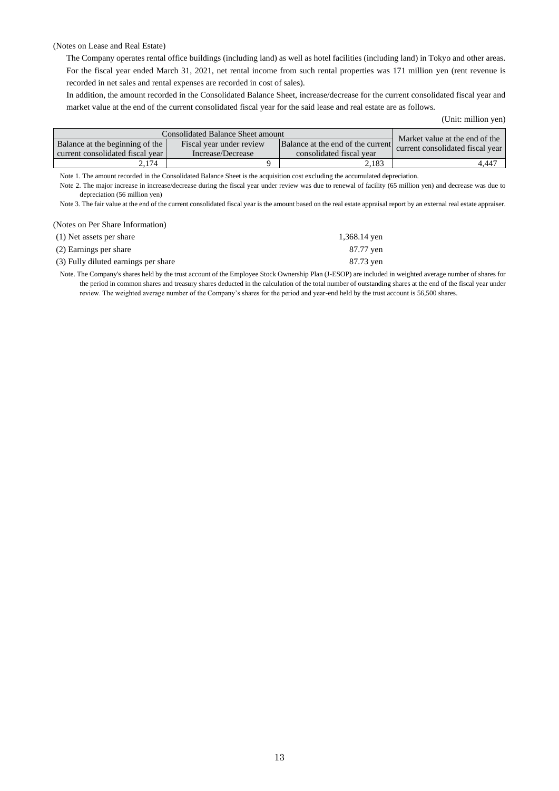#### (Notes on Lease and Real Estate)

The Company operates rental office buildings (including land) as well as hotel facilities (including land) in Tokyo and other areas. For the fiscal year ended March 31, 2021, net rental income from such rental properties was 171 million yen (rent revenue is recorded in net sales and rental expenses are recorded in cost of sales).

In addition, the amount recorded in the Consolidated Balance Sheet, increase/decrease for the current consolidated fiscal year and market value at the end of the current consolidated fiscal year for the said lease and real estate are as follows.

(Unit: million yen)

| <b>Consolidated Balance Sheet amount</b>                            | Market value at the end of the                |                                                               |                                  |
|---------------------------------------------------------------------|-----------------------------------------------|---------------------------------------------------------------|----------------------------------|
| Balance at the beginning of the<br>current consolidated fiscal year | Fiscal year under review<br>Increase/Decrease | Balance at the end of the current<br>consolidated fiscal year | current consolidated fiscal year |
| 2.174                                                               |                                               | 2.183                                                         | 4.447                            |

Note 1. The amount recorded in the Consolidated Balance Sheet is the acquisition cost excluding the accumulated depreciation.

Note 2. The major increase in increase/decrease during the fiscal year under review was due to renewal of facility (65 million yen) and decrease was due to depreciation (56 million yen)

Note 3. The fair value at the end of the current consolidated fiscal year is the amount based on the real estate appraisal report by an external real estate appraiser.

## (Notes on Per Share Information)

| (1) Net assets per share             | 1,368.14 yen |
|--------------------------------------|--------------|
| (2) Earnings per share               | 87.77 yen    |
| (3) Fully diluted earnings per share | 87.73 yen    |

Note. The Company's shares held by the trust account of the Employee Stock Ownership Plan (J-ESOP) are included in weighted average number of shares for the period in common shares and treasury shares deducted in the calculation of the total number of outstanding shares at the end of the fiscal year under review. The weighted average number of the Company's shares for the period and year-end held by the trust account is 56,500 shares.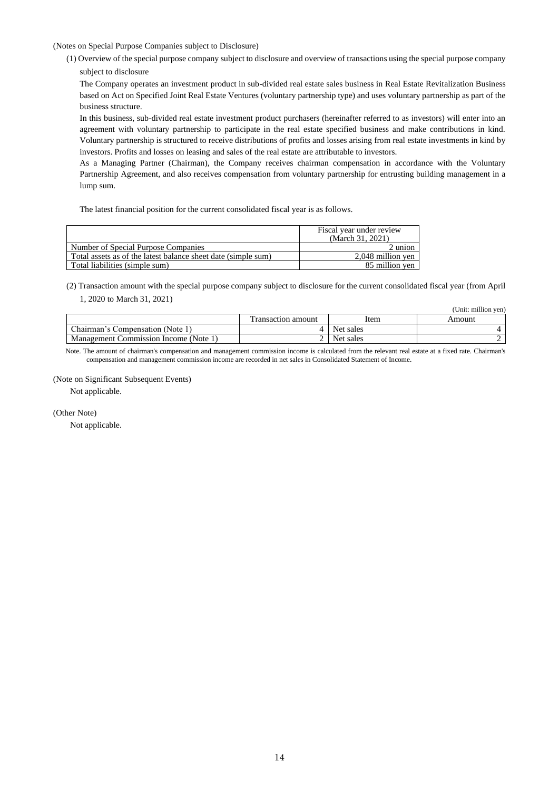(Notes on Special Purpose Companies subject to Disclosure)

(1) Overview of the special purpose company subject to disclosure and overview of transactions using the special purpose company subject to disclosure

The Company operates an investment product in sub-divided real estate sales business in Real Estate Revitalization Business based on Act on Specified Joint Real Estate Ventures (voluntary partnership type) and uses voluntary partnership as part of the business structure.

In this business, sub-divided real estate investment product purchasers (hereinafter referred to as investors) will enter into an agreement with voluntary partnership to participate in the real estate specified business and make contributions in kind. Voluntary partnership is structured to receive distributions of profits and losses arising from real estate investments in kind by investors. Profits and losses on leasing and sales of the real estate are attributable to investors.

As a Managing Partner (Chairman), the Company receives chairman compensation in accordance with the Voluntary Partnership Agreement, and also receives compensation from voluntary partnership for entrusting building management in a lump sum.

The latest financial position for the current consolidated fiscal year is as follows.

|                                                               | Fiscal year under review<br>(March 31, 2021) |
|---------------------------------------------------------------|----------------------------------------------|
| Number of Special Purpose Companies                           | 2 union                                      |
| Total assets as of the latest balance sheet date (simple sum) | 2.048 million ven                            |
| Total liabilities (simple sum)                                | 85 million ven                               |

(2) Transaction amount with the special purpose company subject to disclosure for the current consolidated fiscal year (from April 1, 2020 to March 31, 2021)

|                                       |                    |           | (Unit: million yen) |
|---------------------------------------|--------------------|-----------|---------------------|
|                                       | Transaction amount | Item      | Amount              |
| Chairman's Compensation (Note 1)      |                    | Net sales |                     |
| Management Commission Income (Note 1) |                    | Net sales |                     |

Note. The amount of chairman's compensation and management commission income is calculated from the relevant real estate at a fixed rate. Chairman's compensation and management commission income are recorded in net sales in Consolidated Statement of Income.

(Note on Significant Subsequent Events)

Not applicable.

(Other Note)

Not applicable.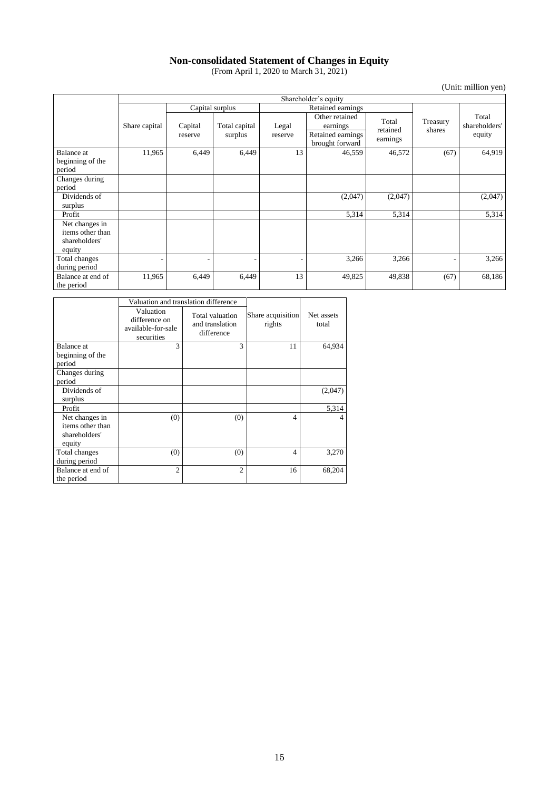## **Non-consolidated Statement of Changes in Equity**

(From April 1, 2020 to March 31, 2021)

(Unit: million yen)

|                                                               | Shareholder's equity |                    |                          |                  |                                                                    |                               |                    |                                  |
|---------------------------------------------------------------|----------------------|--------------------|--------------------------|------------------|--------------------------------------------------------------------|-------------------------------|--------------------|----------------------------------|
|                                                               |                      |                    | Capital surplus          |                  | Retained earnings                                                  |                               |                    |                                  |
|                                                               | Share capital        | Capital<br>reserve | Total capital<br>surplus | Legal<br>reserve | Other retained<br>earnings<br>Retained earnings<br>brought forward | Total<br>retained<br>earnings | Treasury<br>shares | Total<br>shareholders'<br>equity |
| <b>Balance</b> at<br>beginning of the<br>period               | 11,965               | 6,449              | 6,449                    | 13               | 46,559                                                             | 46,572                        | (67)               | 64,919                           |
| Changes during<br>period                                      |                      |                    |                          |                  |                                                                    |                               |                    |                                  |
| Dividends of<br>surplus                                       |                      |                    |                          |                  | (2,047)                                                            | (2,047)                       |                    | (2,047)                          |
| Profit                                                        |                      |                    |                          |                  | 5,314                                                              | 5,314                         |                    | 5,314                            |
| Net changes in<br>items other than<br>shareholders'<br>equity |                      |                    |                          |                  |                                                                    |                               |                    |                                  |
| Total changes<br>during period                                |                      |                    | $\overline{\phantom{0}}$ |                  | 3,266                                                              | 3,266                         | ٠                  | 3,266                            |
| Balance at end of<br>the period                               | 11,965               | 6,449              | 6,449                    | 13               | 49,825                                                             | 49,838                        | (67)               | 68,186                           |

|                                                               |                                                                | Valuation and translation difference             |                             |                     |
|---------------------------------------------------------------|----------------------------------------------------------------|--------------------------------------------------|-----------------------------|---------------------|
|                                                               | Valuation<br>difference on<br>available-for-sale<br>securities | Total valuation<br>and translation<br>difference | Share acquisition<br>rights | Net assets<br>total |
| Balance at                                                    | 3                                                              | 3                                                | 11                          | 64,934              |
| beginning of the<br>period                                    |                                                                |                                                  |                             |                     |
| Changes during<br>period                                      |                                                                |                                                  |                             |                     |
| Dividends of<br>surplus                                       |                                                                |                                                  |                             | (2,047)             |
| Profit                                                        |                                                                |                                                  |                             | 5,314               |
| Net changes in<br>items other than<br>shareholders'<br>equity | (0)                                                            | (0)                                              | $\overline{4}$              | 4                   |
| Total changes<br>during period                                | (0)                                                            | (0)                                              | $\overline{4}$              | 3,270               |
| Balance at end of<br>the period                               | $\mathfrak{D}$                                                 | $\overline{c}$                                   | 16                          | 68,204              |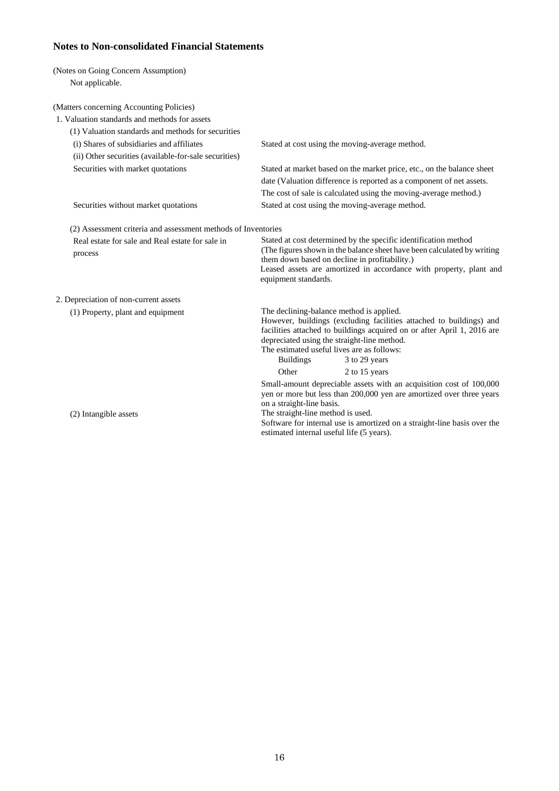# **Notes to Non-consolidated Financial Statements**

| (Notes on Going Concern Assumption)                           |                                                                                                                                                                                                                                                                                                                                        |
|---------------------------------------------------------------|----------------------------------------------------------------------------------------------------------------------------------------------------------------------------------------------------------------------------------------------------------------------------------------------------------------------------------------|
| Not applicable.                                               |                                                                                                                                                                                                                                                                                                                                        |
| (Matters concerning Accounting Policies)                      |                                                                                                                                                                                                                                                                                                                                        |
| 1. Valuation standards and methods for assets                 |                                                                                                                                                                                                                                                                                                                                        |
| (1) Valuation standards and methods for securities            |                                                                                                                                                                                                                                                                                                                                        |
| (i) Shares of subsidiaries and affiliates                     | Stated at cost using the moving-average method.                                                                                                                                                                                                                                                                                        |
| (ii) Other securities (available-for-sale securities)         |                                                                                                                                                                                                                                                                                                                                        |
| Securities with market quotations                             | Stated at market based on the market price, etc., on the balance sheet                                                                                                                                                                                                                                                                 |
|                                                               | date (Valuation difference is reported as a component of net assets.                                                                                                                                                                                                                                                                   |
|                                                               | The cost of sale is calculated using the moving-average method.)                                                                                                                                                                                                                                                                       |
| Securities without market quotations                          | Stated at cost using the moving-average method.                                                                                                                                                                                                                                                                                        |
| (2) Assessment criteria and assessment methods of Inventories |                                                                                                                                                                                                                                                                                                                                        |
| Real estate for sale and Real estate for sale in<br>process   | Stated at cost determined by the specific identification method<br>(The figures shown in the balance sheet have been calculated by writing<br>them down based on decline in profitability.)<br>Leased assets are amortized in accordance with property, plant and<br>equipment standards.                                              |
| 2. Depreciation of non-current assets                         |                                                                                                                                                                                                                                                                                                                                        |
| (1) Property, plant and equipment                             | The declining-balance method is applied.<br>However, buildings (excluding facilities attached to buildings) and<br>facilities attached to buildings acquired on or after April 1, 2016 are<br>depreciated using the straight-line method.<br>The estimated useful lives are as follows:<br><b>Buildings</b><br>3 to 29 years           |
|                                                               | Other<br>2 to 15 years                                                                                                                                                                                                                                                                                                                 |
| (2) Intangible assets                                         | Small-amount depreciable assets with an acquisition cost of 100,000<br>yen or more but less than 200,000 yen are amortized over three years<br>on a straight-line basis.<br>The straight-line method is used.<br>Software for internal use is amortized on a straight-line basis over the<br>estimated internal useful life (5 years). |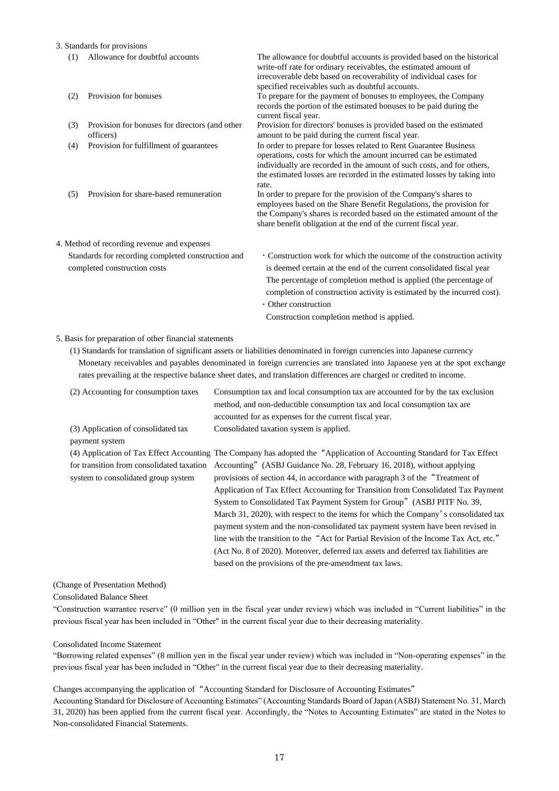3. Standards for provisions

- (1) Allowance for doubtful accounts The allowance for doubtful accounts is provided based on the historical write-off rate for ordinary receivables, the estimated amount of irrecoverable debt based on recoverability of individual cases for specified receivables such as doubtful accounts. (2) Provision for bonuses To prepare for the payment of bonuses to employees, the Company records the portion of the estimated bonuses to be paid during the current fiscal year. (3) Provision for bonuses for directors (and other officers) Provision for directors' bonuses is provided based on the estimated amount to be paid during the current fiscal year. (4) Provision for fulfillment of guarantees In order to prepare for losses related to Rent Guarantee Business operations, costs for which the amount incurred can be estimated individually are recorded in the amount of such costs, and for others, the estimated losses are recorded in the estimated losses by taking into rate. (5) Provision for share-based remuneration In order to prepare for the provision of the Company's shares to employees based on the Share Benefit Regulations, the provision for the Company's shares is recorded based on the estimated amount of the share benefit obligation at the end of the current fiscal year. 4. Method of recording revenue and expenses Standards for recording completed construction and completed construction costs ・Construction work for which the outcome of the construction activity is deemed certain at the end of the current consolidated fiscal year The percentage of completion method is applied (the percentage of completion of construction activity is estimated by the incurred cost). ・Other construction
	- Construction completion method is applied.

## 5. Basis for preparation of other financial statements

(1) Standards for translation of significant assets or liabilities denominated in foreign currencies into Japanese currency Monetary receivables and payables denominated in foreign currencies are translated into Japanese yen at the spot exchange rates prevailing at the respective balance sheet dates, and translation differences are charged or credited to income.

| (2) Accounting for consumption taxes                  | Consumption tax and local consumption tax are accounted for by the tax exclusion<br>method, and non-deductible consumption tax and local consumption tax are |
|-------------------------------------------------------|--------------------------------------------------------------------------------------------------------------------------------------------------------------|
|                                                       | accounted for as expenses for the current fiscal year.                                                                                                       |
| (3) Application of consolidated tax<br>payment system | Consolidated taxation system is applied.                                                                                                                     |
|                                                       | (4) Application of Tax Effect Accounting The Company has adopted the "Application of Accounting Standard for Tax Effect                                      |
| for transition from consolidated taxation             | Accounting" (ASBJ Guidance No. 28, February 16, 2018), without applying                                                                                      |
| system to consolidated group system                   | provisions of section 44, in accordance with paragraph 3 of the "Treatment of                                                                                |
|                                                       | Application of Tax Effect Accounting for Transition from Consolidated Tax Payment                                                                            |
|                                                       | System to Consolidated Tax Payment System for Group" (ASBJ PITF No. 39,                                                                                      |
|                                                       | March 31, 2020), with respect to the items for which the Company's consolidated tax                                                                          |
|                                                       | payment system and the non-consolidated tax payment system have been revised in                                                                              |
|                                                       | line with the transition to the "Act for Partial Revision of the Income Tax Act, etc."                                                                       |
|                                                       | (Act No. 8 of 2020). Moreover, deferred tax assets and deferred tax liabilities are                                                                          |
|                                                       | based on the provisions of the pre-amendment tax laws.                                                                                                       |

#### (Change of Presentation Method)

Consolidated Balance Sheet

"Construction warrantee reserve" (0 million yen in the fiscal year under review) which was included in "Current liabilities" in the previous fiscal year has been included in "Other" in the current fiscal year due to their decreasing materiality.

#### Consolidated Income Statement

"Borrowing related expenses" (8 million yen in the fiscal year under review) which was included in "Non-operating expenses" in the previous fiscal year has been included in "Other" in the current fiscal year due to their decreasing materiality.

## Changes accompanying the application of "Accounting Standard for Disclosure of Accounting Estimates"

Accounting Standard for Disclosure of Accounting Estimates" (Accounting Standards Board of Japan (ASBJ) Statement No. 31, March 31, 2020) has been applied from the current fiscal year. Accordingly, the "Notes to Accounting Estimates" are stated in the Notes to Non-consolidated Financial Statements.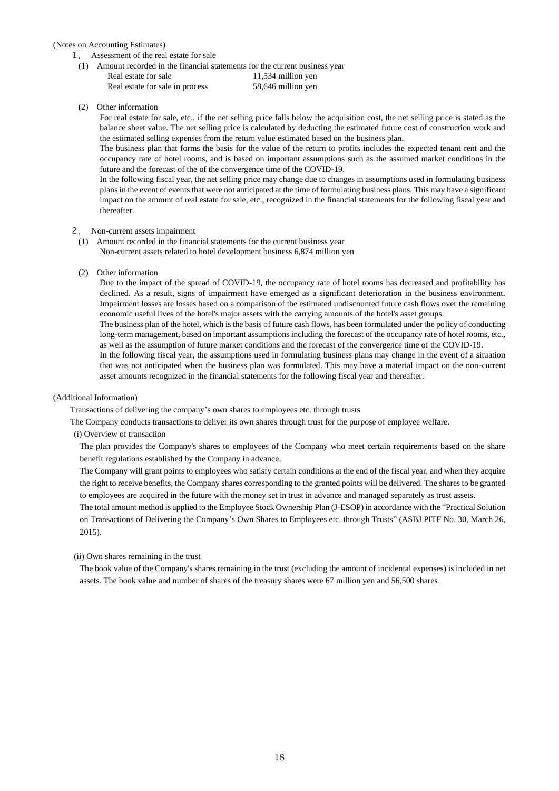### (Notes on Accounting Estimates)

- 1. Assessment of the real estate for sale
- (1) Amount recorded in the financial statements for the current business year
	- Real estate for sale 11,534 million yen Real estate for sale in process 58,646 million yen

(2) Other information

For real estate for sale, etc., if the net selling price falls below the acquisition cost, the net selling price is stated as the balance sheet value. The net selling price is calculated by deducting the estimated future cost of construction work and the estimated selling expenses from the return value estimated based on the business plan.

The business plan that forms the basis for the value of the return to profits includes the expected tenant rent and the occupancy rate of hotel rooms, and is based on important assumptions such as the assumed market conditions in the future and the forecast of the of the convergence time of the COVID-19.

In the following fiscal year, the net selling price may change due to changes in assumptions used in formulating business plans in the event of events that were not anticipated at the time of formulating business plans. This may have a significant impact on the amount of real estate for sale, etc., recognized in the financial statements for the following fiscal year and thereafter.

## 2. Non-current assets impairment

- (1) Amount recorded in the financial statements for the current business year Non-current assets related to hotel development business 6,874 million yen
- (2) Other information

Due to the impact of the spread of COVID-19, the occupancy rate of hotel rooms has decreased and profitability has declined. As a result, signs of impairment have emerged as a significant deterioration in the business environment. Impairment losses are losses based on a comparison of the estimated undiscounted future cash flows over the remaining economic useful lives of the hotel's major assets with the carrying amounts of the hotel's asset groups.

The business plan of the hotel, which is the basis of future cash flows, has been formulated under the policy of conducting long-term management, based on important assumptions including the forecast of the occupancy rate of hotel rooms, etc., as well as the assumption of future market conditions and the forecast of the convergence time of the COVID-19.

In the following fiscal year, the assumptions used in formulating business plans may change in the event of a situation that was not anticipated when the business plan was formulated. This may have a material impact on the non-current asset amounts recognized in the financial statements for the following fiscal year and thereafter.

## (Additional Information)

Transactions of delivering the company's own shares to employees etc. through trusts

The Company conducts transactions to deliver its own shares through trust for the purpose of employee welfare.

(i) Overview of transaction

The plan provides the Company's shares to employees of the Company who meet certain requirements based on the share benefit regulations established by the Company in advance.

The Company will grant points to employees who satisfy certain conditions at the end of the fiscal year, and when they acquire the right to receive benefits, the Company shares corresponding to the granted points will be delivered. The shares to be granted to employees are acquired in the future with the money set in trust in advance and managed separately as trust assets.

The total amount method is applied to the Employee Stock Ownership Plan (J-ESOP) in accordance with the "Practical Solution on Transactions of Delivering the Company's Own Shares to Employees etc. through Trusts" (ASBJ PITF No. 30, March 26, 2015).

## (ii) Own shares remaining in the trust

The book value of the Company's shares remaining in the trust (excluding the amount of incidental expenses) is included in net assets. The book value and number of shares of the treasury shares were 67 million yen and 56,500 shares.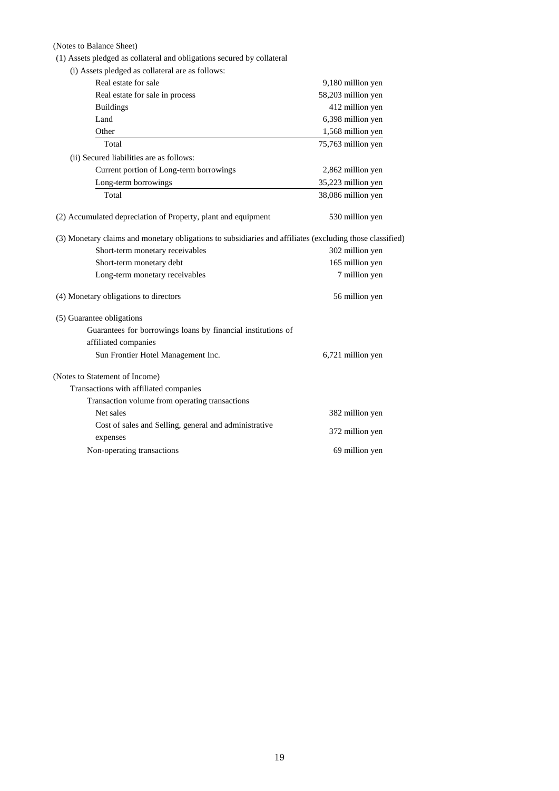(Notes to Balance Sheet)

(1) Assets pledged as collateral and obligations secured by collateral

| (i) Assets pledged as collateral are as follows:                                                         |                    |
|----------------------------------------------------------------------------------------------------------|--------------------|
| Real estate for sale                                                                                     | 9,180 million yen  |
| Real estate for sale in process                                                                          | 58,203 million yen |
| <b>Buildings</b>                                                                                         | 412 million yen    |
| Land                                                                                                     | 6,398 million yen  |
| Other                                                                                                    | 1,568 million yen  |
| Total                                                                                                    | 75,763 million yen |
| (ii) Secured liabilities are as follows:                                                                 |                    |
| Current portion of Long-term borrowings                                                                  | 2,862 million yen  |
| Long-term borrowings                                                                                     | 35,223 million yen |
| Total                                                                                                    | 38,086 million yen |
| (2) Accumulated depreciation of Property, plant and equipment                                            | 530 million yen    |
| (3) Monetary claims and monetary obligations to subsidiaries and affiliates (excluding those classified) |                    |
| Short-term monetary receivables                                                                          | 302 million yen    |
| Short-term monetary debt                                                                                 | 165 million yen    |
| Long-term monetary receivables                                                                           | 7 million yen      |
| (4) Monetary obligations to directors                                                                    | 56 million yen     |
| (5) Guarantee obligations                                                                                |                    |
| Guarantees for borrowings loans by financial institutions of                                             |                    |
| affiliated companies                                                                                     |                    |
| Sun Frontier Hotel Management Inc.                                                                       | 6,721 million yen  |
| (Notes to Statement of Income)                                                                           |                    |
| Transactions with affiliated companies                                                                   |                    |
| Transaction volume from operating transactions                                                           |                    |
| Net sales                                                                                                | 382 million yen    |
| Cost of sales and Selling, general and administrative<br>expenses                                        | 372 million yen    |
| Non-operating transactions                                                                               | 69 million yen     |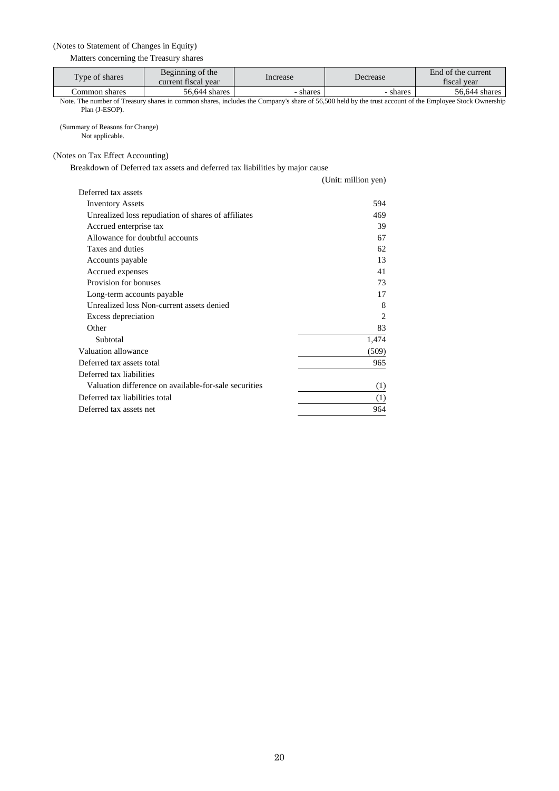## (Notes to Statement of Changes in Equity)

Matters concerning the Treasury shares

| Type of shares | Beginning of the<br>current fiscal year | Increase | Decrease | End of the current<br>fiscal vear |
|----------------|-----------------------------------------|----------|----------|-----------------------------------|
| Common shares  | 56.644 shares                           | - shares | shares   | 56,644 shares                     |

Note. The number of Treasury shares in common shares, includes the Company's share of 56,500 held by the trust account of the Employee Stock Ownership Plan (J-ESOP).

(Summary of Reasons for Change) Not applicable.

(Notes on Tax Effect Accounting)

Breakdown of Deferred tax assets and deferred tax liabilities by major cause

|                                                       | (Unit: million yen) |
|-------------------------------------------------------|---------------------|
| Deferred tax assets                                   |                     |
| <b>Inventory Assets</b>                               | 594                 |
| Unrealized loss repudiation of shares of affiliates   | 469                 |
| Accrued enterprise tax                                | 39                  |
| Allowance for doubtful accounts                       | 67                  |
| Taxes and duties                                      | 62.                 |
| Accounts payable                                      | 13                  |
| Accrued expenses                                      | 41                  |
| Provision for bonuses                                 | 73                  |
| Long-term accounts payable                            | 17                  |
| Unrealized loss Non-current assets denied             | 8                   |
| Excess depreciation                                   | $\overline{c}$      |
| Other                                                 | 83                  |
| Subtotal                                              | 1,474               |
| Valuation allowance                                   | (509)               |
| Deferred tax assets total                             | 965                 |
| Deferred tax liabilities                              |                     |
| Valuation difference on available-for-sale securities | (1)                 |
| Deferred tax liabilities total                        | (1)                 |
| Deferred tax assets net                               | 964                 |